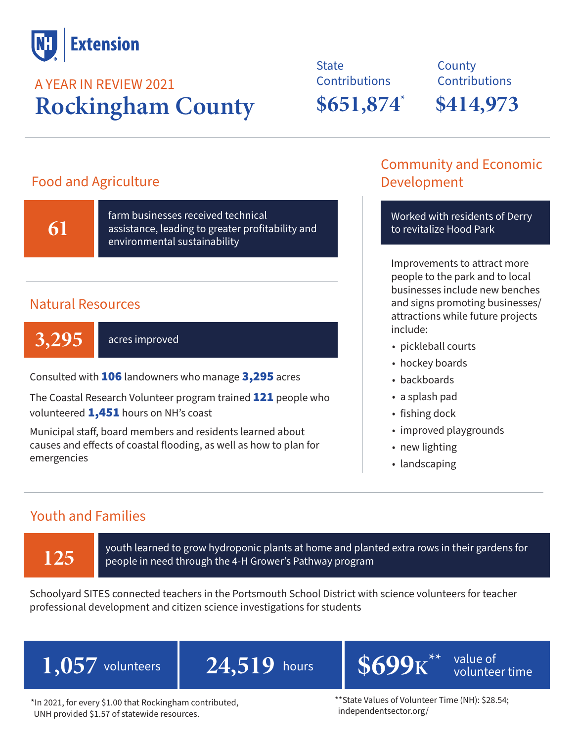

### **Rockingham County** A YEAR IN REVIEW 2021

**State Contributions \$651,874 \$414,973 \***

**County Contributions** 

### Food and Agriculture

**61**

farm businesses received technical assistance, leading to greater profitability and environmental sustainability

### Natural Resources

3,295 acres improved

Consulted with 106 landowners who manage 3,295 acres

The Coastal Research Volunteer program trained **121** people who volunteered 1,451 hours on NH's coast

Municipal staff, board members and residents learned about causes and effects of coastal flooding, as well as how to plan for emergencies

### Community and Economic Development

Worked with residents of Derry to revitalize Hood Park

Improvements to attract more people to the park and to local businesses include new benches and signs promoting businesses/ attractions while future projects include:

- pickleball courts
- hockey boards
- backboards
- a splash pad
- fishing dock
- improved playgrounds
- new lighting
- landscaping

### Youth and Families

**125** youth learned to grow hydroponic plants at home and planted extra rows in their gardens for people in need through the 4-H Grower's Pathway program people in need through the 4-H Grower's Pathway program

Schoolyard SITES connected teachers in the Portsmouth School District with science volunteers for teacher professional development and citizen science investigations for students

 $\overline{1,057}$  volunteers  $\overline{24,519}$  hours  $\overline{8699}$ K

 $24,519$  hours  $8699$ K<sup>\*\*</sup> value of

**\*\***

volunteer time

\*In 2021, for every \$1.00 that Rockingham contributed, UNH provided \$1.57 of statewide resources.

\*\*State Values of Volunteer Time (NH): \$28.54; independentsector.org/